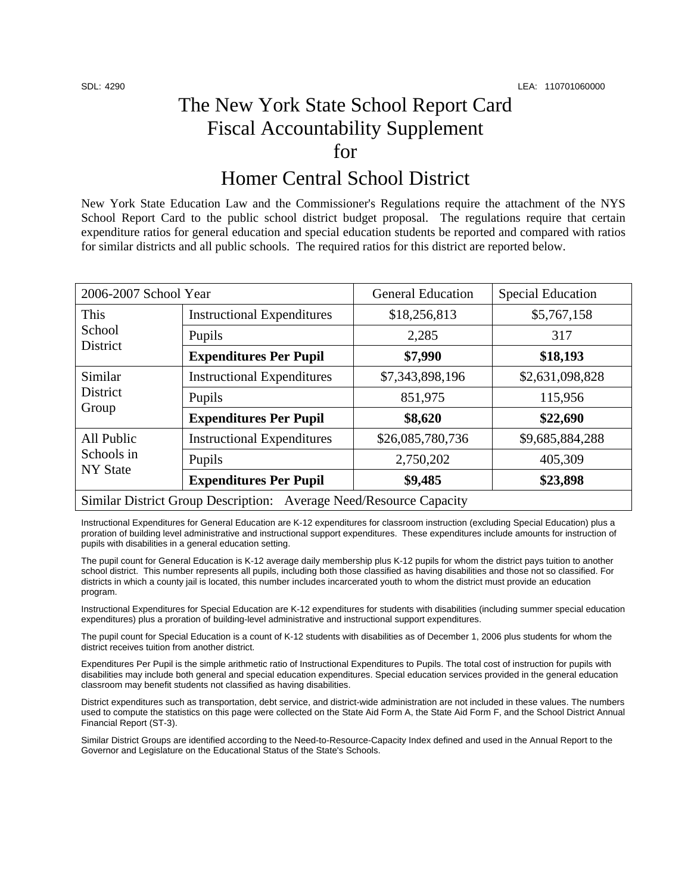## The New York State School Report Card Fiscal Accountability Supplement for

## Homer Central School District

New York State Education Law and the Commissioner's Regulations require the attachment of the NYS School Report Card to the public school district budget proposal. The regulations require that certain expenditure ratios for general education and special education students be reported and compared with ratios for similar districts and all public schools. The required ratios for this district are reported below.

| 2006-2007 School Year                                              |                                   | <b>General Education</b> | <b>Special Education</b> |  |
|--------------------------------------------------------------------|-----------------------------------|--------------------------|--------------------------|--|
| This<br>School<br>District                                         | <b>Instructional Expenditures</b> | \$18,256,813             | \$5,767,158              |  |
|                                                                    | Pupils                            | 2,285                    | 317                      |  |
|                                                                    | <b>Expenditures Per Pupil</b>     | \$7,990                  | \$18,193                 |  |
| Similar<br><b>District</b><br>Group                                | <b>Instructional Expenditures</b> | \$7,343,898,196          | \$2,631,098,828          |  |
|                                                                    | Pupils                            | 851,975                  | 115,956                  |  |
|                                                                    | <b>Expenditures Per Pupil</b>     | \$8,620                  | \$22,690                 |  |
| All Public<br>Schools in<br><b>NY</b> State                        | <b>Instructional Expenditures</b> | \$26,085,780,736         | \$9,685,884,288          |  |
|                                                                    | Pupils                            | 2,750,202                | 405,309                  |  |
|                                                                    | <b>Expenditures Per Pupil</b>     | \$9,485                  | \$23,898                 |  |
| Similar District Group Description: Average Need/Resource Capacity |                                   |                          |                          |  |

Instructional Expenditures for General Education are K-12 expenditures for classroom instruction (excluding Special Education) plus a proration of building level administrative and instructional support expenditures. These expenditures include amounts for instruction of pupils with disabilities in a general education setting.

The pupil count for General Education is K-12 average daily membership plus K-12 pupils for whom the district pays tuition to another school district. This number represents all pupils, including both those classified as having disabilities and those not so classified. For districts in which a county jail is located, this number includes incarcerated youth to whom the district must provide an education program.

Instructional Expenditures for Special Education are K-12 expenditures for students with disabilities (including summer special education expenditures) plus a proration of building-level administrative and instructional support expenditures.

The pupil count for Special Education is a count of K-12 students with disabilities as of December 1, 2006 plus students for whom the district receives tuition from another district.

Expenditures Per Pupil is the simple arithmetic ratio of Instructional Expenditures to Pupils. The total cost of instruction for pupils with disabilities may include both general and special education expenditures. Special education services provided in the general education classroom may benefit students not classified as having disabilities.

District expenditures such as transportation, debt service, and district-wide administration are not included in these values. The numbers used to compute the statistics on this page were collected on the State Aid Form A, the State Aid Form F, and the School District Annual Financial Report (ST-3).

Similar District Groups are identified according to the Need-to-Resource-Capacity Index defined and used in the Annual Report to the Governor and Legislature on the Educational Status of the State's Schools.